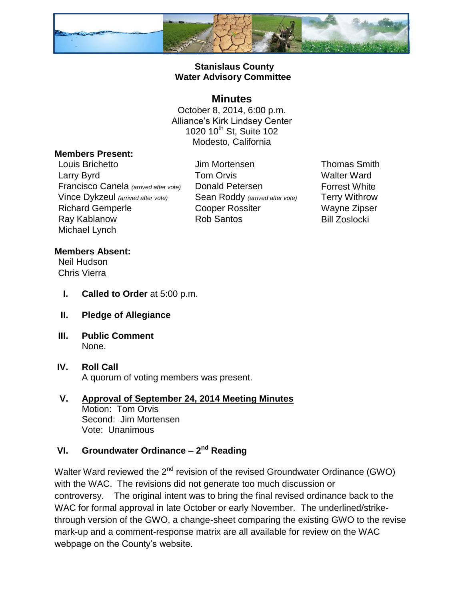

# **Stanislaus County Water Advisory Committee**

# **Minutes**

October 8, 2014, 6:00 p.m. Alliance's Kirk Lindsey Center 1020  $10^{th}$  St, Suite 102 Modesto, California

### **Members Present:**

Louis Brichetto Jim Mortensen Thomas Smith Larry Byrd **Tom Orvis** Carry Byrd Walter Ward Francisco Canela *(arrived after vote)* Donald Petersen Forrest White Vince Dykzeul *(arrived after vote)* Sean Roddy *(arrived after vote)* Terry Withrow Richard Gemperle **Cooper Rossiter** Wayne Zipser Ray Kablanow **Rob Santos** Bill Zoslocki Michael Lynch

### **Members Absent:**

Neil Hudson Chris Vierra

- **I. Called to Order** at 5:00 p.m.
- **II. Pledge of Allegiance**
- **III. Public Comment** None.
- **IV. Roll Call** A quorum of voting members was present.

#### **V. Approval of September 24, 2014 Meeting Minutes** Motion: Tom Orvis Second: Jim Mortensen Vote: Unanimous

# **VI. Groundwater Ordinance – 2 nd Reading**

Walter Ward reviewed the 2<sup>nd</sup> revision of the revised Groundwater Ordinance (GWO) with the WAC. The revisions did not generate too much discussion or controversy. The original intent was to bring the final revised ordinance back to the WAC for formal approval in late October or early November. The underlined/strikethrough version of the GWO, a change-sheet comparing the existing GWO to the revise mark-up and a comment-response matrix are all available for review on the WAC webpage on the County's website.